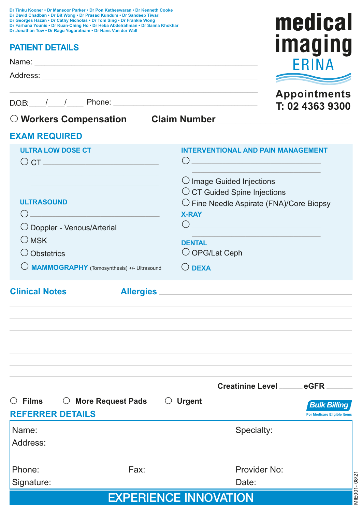| Dr Tinku Kooner • Dr Mansoor Parker • Dr Pon Ketheswaran • Dr Kenneth Cooke<br>Dr David Chadban . Dr Bit Wong . Dr Prasad Kundum . Dr Sandeep Tiwari<br>Dr Georges Hazan . Dr Cathy Nicholas . Dr Tom Sing . Dr Frankie Wong<br>Dr Farhana Younis • Dr Kuan-Ching Ho • Dr Heba Abdelrahman • Dr Saima Khokhar<br>Dr Jonathan Tow . Dr Ragu Yogaratnam . Dr Hans Van der Wall |                       | medical                                                                                                                                                                                                |
|------------------------------------------------------------------------------------------------------------------------------------------------------------------------------------------------------------------------------------------------------------------------------------------------------------------------------------------------------------------------------|-----------------------|--------------------------------------------------------------------------------------------------------------------------------------------------------------------------------------------------------|
| <b>PATIENT DETAILS</b>                                                                                                                                                                                                                                                                                                                                                       | <u><b>Imaging</b></u> |                                                                                                                                                                                                        |
| Name: 2008. 2008. 2009. 2009. 2009. 2009. 2009. 2009. 2009. 2009. 2009. 2009. 2009. 2009. 2009. 2009. 2009. 20                                                                                                                                                                                                                                                               | FRINA                 |                                                                                                                                                                                                        |
| Address: <u>Address:</u> Address: Address: Address: Address: Address: Address: Address: Address: Address: Address: Address: Address: Address: Address: Address: Address: Address: Address: Address: Address: Address: Address: Addr                                                                                                                                          |                       |                                                                                                                                                                                                        |
|                                                                                                                                                                                                                                                                                                                                                                              |                       | <b>Appointments</b><br>T: 02 4363 9300                                                                                                                                                                 |
| O Workers Compensation Claim Number                                                                                                                                                                                                                                                                                                                                          |                       |                                                                                                                                                                                                        |
| <b>EXAM REQUIRED</b>                                                                                                                                                                                                                                                                                                                                                         |                       |                                                                                                                                                                                                        |
| <b>ULTRA LOW DOSE CT</b><br>$\circ$ ct $\_\_$                                                                                                                                                                                                                                                                                                                                |                       | <b>INTERVENTIONAL AND PAIN MANAGEMENT</b><br>( )                                                                                                                                                       |
| <b>ULTRASOUND</b><br>( )<br>O Doppler - Venous/Arterial<br>$\bigcirc$ MSK<br>O Obstetrics<br>O MAMMOGRAPHY (Tomosynthesis) +/- Ultrasound                                                                                                                                                                                                                                    |                       | $\bigcirc$ Image Guided Injections<br>O CT Guided Spine Injections<br>$\bigcirc$ Fine Needle Aspirate (FNA)/Core Biopsy<br><b>X-RAY</b><br><b>DENTAL</b><br>$\bigcirc$ OPG/Lat Ceph<br>$\bigcirc$ DEXA |
| <b>Clinical Notes</b>                                                                                                                                                                                                                                                                                                                                                        |                       | Allergies                                                                                                                                                                                              |
|                                                                                                                                                                                                                                                                                                                                                                              |                       |                                                                                                                                                                                                        |
|                                                                                                                                                                                                                                                                                                                                                                              |                       | Creatinine Level<br>eGFR                                                                                                                                                                               |
| $\circ$ Films<br>○ More Request Pads<br><b>REFERRER DETAILS</b>                                                                                                                                                                                                                                                                                                              |                       | $\bigcirc$ Urgent<br><b>Bulk Billing</b><br><b>For Medicare Eligible Items</b>                                                                                                                         |
| Name:<br>Address:                                                                                                                                                                                                                                                                                                                                                            |                       | Specialty:                                                                                                                                                                                             |
| Phone:<br>Signature:                                                                                                                                                                                                                                                                                                                                                         | Fax:                  | Provider No:<br>MIE001-08/21<br>Date:                                                                                                                                                                  |
| <b>EXPERIENCE INNOVATION</b>                                                                                                                                                                                                                                                                                                                                                 |                       |                                                                                                                                                                                                        |